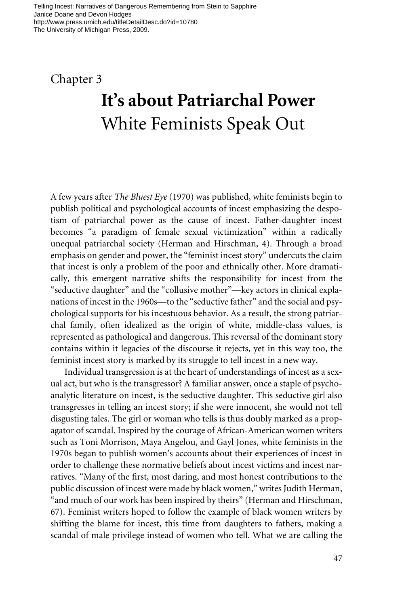## Chapter 3 **It's about Patriarchal Power** White Feminists Speak Out

A few years after *The Bluest Eye* (1970) was published, white feminists begin to publish political and psychological accounts of incest emphasizing the despotism of patriarchal power as the cause of incest. Father-daughter incest becomes "a paradigm of female sexual victimization" within a radically unequal patriarchal society (Herman and Hirschman, 4). Through a broad emphasis on gender and power, the "feminist incest story" undercuts the claim that incest is only a problem of the poor and ethnically other. More dramatically, this emergent narrative shifts the responsibility for incest from the "seductive daughter" and the "collusive mother"—key actors in clinical explanations of incest in the 1960s—to the "seductive father" and the social and psychological supports for his incestuous behavior. As a result, the strong patriarchal family, often idealized as the origin of white, middle-class values, is represented as pathological and dangerous. This reversal of the dominant story contains within it legacies of the discourse it rejects, yet in this way too, the feminist incest story is marked by its struggle to tell incest in a new way.

Individual transgression is at the heart of understandings of incest as a sexual act, but who is the transgressor? A familiar answer, once a staple of psychoanalytic literature on incest, is the seductive daughter. This seductive girl also transgresses in telling an incest story; if she were innocent, she would not tell disgusting tales. The girl or woman who tells is thus doubly marked as a propagator of scandal. Inspired by the courage of African-American women writers such as Toni Morrison, Maya Angelou, and Gayl Jones, white feminists in the 1970s began to publish women's accounts about their experiences of incest in order to challenge these normative beliefs about incest victims and incest narratives. "Many of the first, most daring, and most honest contributions to the public discussion of incest were made by black women," writes Judith Herman, "and much of our work has been inspired by theirs" (Herman and Hirschman, 67). Feminist writers hoped to follow the example of black women writers by shifting the blame for incest, this time from daughters to fathers, making a scandal of male privilege instead of women who tell. What we are calling the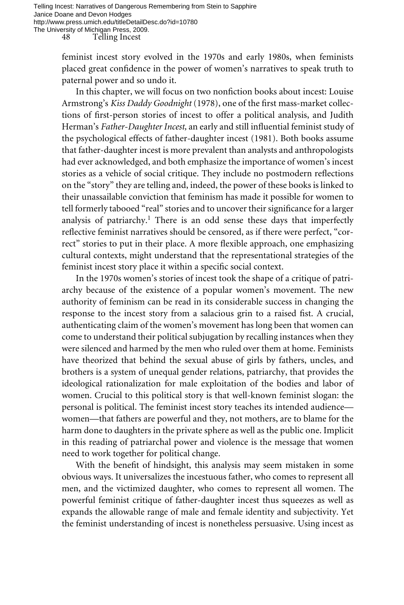> feminist incest story evolved in the 1970s and early 1980s, when feminists placed great confidence in the power of women's narratives to speak truth to paternal power and so undo it.

> In this chapter, we will focus on two nonfiction books about incest: Louise Armstrong's *Kiss Daddy Goodnight* (1978), one of the first mass-market collections of first-person stories of incest to offer a political analysis, and Judith Herman's Father-Daughter Incest, an early and still influential feminist study of the psychological effects of father-daughter incest (1981). Both books assume that father-daughter incest is more prevalent than analysts and anthropologists had ever acknowledged, and both emphasize the importance of women's incest stories as a vehicle of social critique. They include no postmodern reflections on the "story" they are telling and, indeed, the power of these books is linked to their unassailable conviction that feminism has made it possible for women to tell formerly tabooed "real" stories and to uncover their significance for a larger analysis of patriarchy.<sup>1</sup> There is an odd sense these days that imperfectly reflective feminist narratives should be censored, as if there were perfect, "correct" stories to put in their place. A more flexible approach, one emphasizing cultural contexts, might understand that the representational strategies of the feminist incest story place it within a specific social context.

> In the 1970s women's stories of incest took the shape of a critique of patriarchy because of the existence of a popular women's movement. The new authority of feminism can be read in its considerable success in changing the response to the incest story from a salacious grin to a raised fist. A crucial, authenticating claim of the women's movement has long been that women can come to understand their political subjugation by recalling instances when they were silenced and harmed by the men who ruled over them at home. Feminists have theorized that behind the sexual abuse of girls by fathers, uncles, and brothers is a system of unequal gender relations, patriarchy, that provides the ideological rationalization for male exploitation of the bodies and labor of women. Crucial to this political story is that well-known feminist slogan: the personal is political. The feminist incest story teaches its intended audience women—that fathers are powerful and they, not mothers, are to blame for the harm done to daughters in the private sphere as well as the public one. Implicit in this reading of patriarchal power and violence is the message that women need to work together for political change.

> With the benefit of hindsight, this analysis may seem mistaken in some obvious ways. It universalizes the incestuous father, who comes to represent all men, and the victimized daughter, who comes to represent all women. The powerful feminist critique of father-daughter incest thus squeezes as well as expands the allowable range of male and female identity and subjectivity. Yet the feminist understanding of incest is nonetheless persuasive. Using incest as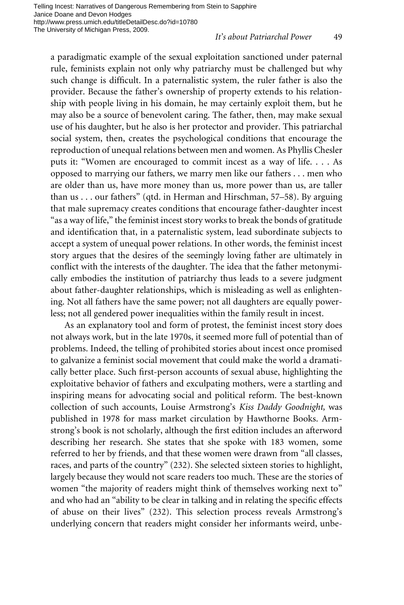## *It's about Patriarchal Power* 49

a paradigmatic example of the sexual exploitation sanctioned under paternal rule, feminists explain not only why patriarchy must be challenged but why such change is difficult. In a paternalistic system, the ruler father is also the provider. Because the father's ownership of property extends to his relationship with people living in his domain, he may certainly exploit them, but he may also be a source of benevolent caring. The father, then, may make sexual use of his daughter, but he also is her protector and provider. This patriarchal social system, then, creates the psychological conditions that encourage the reproduction of unequal relations between men and women. As Phyllis Chesler puts it: "Women are encouraged to commit incest as a way of life. . . . As opposed to marrying our fathers, we marry men like our fathers . . . men who are older than us, have more money than us, more power than us, are taller than us . . . our fathers" (qtd. in Herman and Hirschman, 57–58). By arguing that male supremacy creates conditions that encourage father-daughter incest "as a way of life," the feminist incest story works to break the bonds of gratitude and identification that, in a paternalistic system, lead subordinate subjects to accept a system of unequal power relations. In other words, the feminist incest story argues that the desires of the seemingly loving father are ultimately in conflict with the interests of the daughter. The idea that the father metonymically embodies the institution of patriarchy thus leads to a severe judgment about father-daughter relationships, which is misleading as well as enlightening. Not all fathers have the same power; not all daughters are equally powerless; not all gendered power inequalities within the family result in incest.

As an explanatory tool and form of protest, the feminist incest story does not always work, but in the late 1970s, it seemed more full of potential than of problems. Indeed, the telling of prohibited stories about incest once promised to galvanize a feminist social movement that could make the world a dramatically better place. Such first-person accounts of sexual abuse, highlighting the exploitative behavior of fathers and exculpating mothers, were a startling and inspiring means for advocating social and political reform. The best-known collection of such accounts, Louise Armstrong's *Kiss Daddy Goodnight,* was published in 1978 for mass market circulation by Hawthorne Books. Armstrong's book is not scholarly, although the first edition includes an afterword describing her research. She states that she spoke with 183 women, some referred to her by friends, and that these women were drawn from "all classes, races, and parts of the country" (232). She selected sixteen stories to highlight, largely because they would not scare readers too much. These are the stories of women "the majority of readers might think of themselves working next to" and who had an "ability to be clear in talking and in relating the specific effects of abuse on their lives" (232). This selection process reveals Armstrong's underlying concern that readers might consider her informants weird, unbe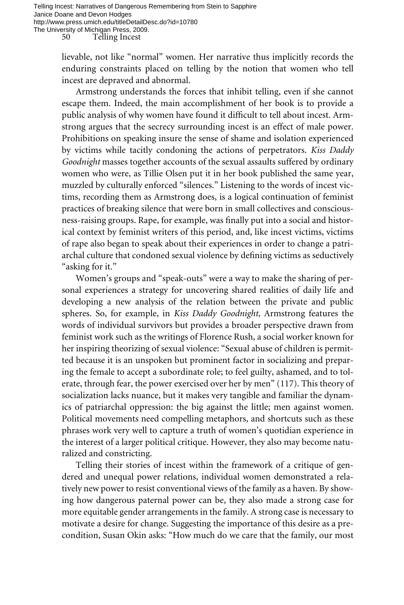lievable, not like "normal" women. Her narrative thus implicitly records the enduring constraints placed on telling by the notion that women who tell incest are depraved and abnormal.

Armstrong understands the forces that inhibit telling, even if she cannot escape them. Indeed, the main accomplishment of her book is to provide a public analysis of why women have found it difficult to tell about incest. Armstrong argues that the secrecy surrounding incest is an effect of male power. Prohibitions on speaking insure the sense of shame and isolation experienced by victims while tacitly condoning the actions of perpetrators. *Kiss Daddy Goodnight* masses together accounts of the sexual assaults suffered by ordinary women who were, as Tillie Olsen put it in her book published the same year, muzzled by culturally enforced "silences." Listening to the words of incest victims, recording them as Armstrong does, is a logical continuation of feminist practices of breaking silence that were born in small collectives and consciousness-raising groups. Rape, for example, was finally put into a social and historical context by feminist writers of this period, and, like incest victims, victims of rape also began to speak about their experiences in order to change a patriarchal culture that condoned sexual violence by defining victims as seductively "asking for it."

Women's groups and "speak-outs" were a way to make the sharing of personal experiences a strategy for uncovering shared realities of daily life and developing a new analysis of the relation between the private and public spheres. So, for example, in *Kiss Daddy Goodnight,* Armstrong features the words of individual survivors but provides a broader perspective drawn from feminist work such as the writings of Florence Rush, a social worker known for her inspiring theorizing of sexual violence: "Sexual abuse of children is permitted because it is an unspoken but prominent factor in socializing and preparing the female to accept a subordinate role; to feel guilty, ashamed, and to tolerate, through fear, the power exercised over her by men" (117). This theory of socialization lacks nuance, but it makes very tangible and familiar the dynamics of patriarchal oppression: the big against the little; men against women. Political movements need compelling metaphors, and shortcuts such as these phrases work very well to capture a truth of women's quotidian experience in the interest of a larger political critique. However, they also may become naturalized and constricting.

Telling their stories of incest within the framework of a critique of gendered and unequal power relations, individual women demonstrated a relatively new power to resist conventional views of the family as a haven. By showing how dangerous paternal power can be, they also made a strong case for more equitable gender arrangements in the family. A strong case is necessary to motivate a desire for change. Suggesting the importance of this desire as a precondition, Susan Okin asks: "How much do we care that the family, our most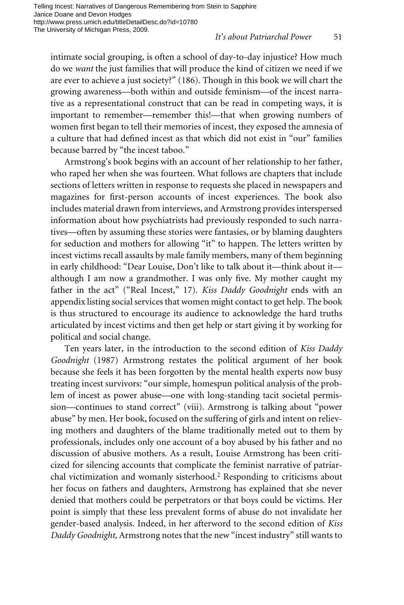intimate social grouping, is often a school of day-to-day injustice? How much do we *want* the just families that will produce the kind of citizen we need if we are ever to achieve a just society?" (186). Though in this book we will chart the growing awareness—both within and outside feminism—of the incest narrative as a representational construct that can be read in competing ways, it is important to remember—remember this!—that when growing numbers of women first began to tell their memories of incest, they exposed the amnesia of a culture that had defined incest as that which did not exist in "our" families because barred by "the incest taboo."

Armstrong's book begins with an account of her relationship to her father, who raped her when she was fourteen. What follows are chapters that include sections of letters written in response to requests she placed in newspapers and magazines for first-person accounts of incest experiences. The book also includes material drawn from interviews, and Armstrong provides interspersed information about how psychiatrists had previously responded to such narratives—often by assuming these stories were fantasies, or by blaming daughters for seduction and mothers for allowing "it" to happen. The letters written by incest victims recall assaults by male family members, many of them beginning in early childhood: "Dear Louise, Don't like to talk about it—think about it although I am now a grandmother. I was only five. My mother caught my father in the act" ("Real Incest," 17). *Kiss Daddy Goodnight* ends with an appendix listing social services that women might contact to get help. The book is thus structured to encourage its audience to acknowledge the hard truths articulated by incest victims and then get help or start giving it by working for political and social change.

Ten years later, in the introduction to the second edition of *Kiss Daddy Goodnight* (1987) Armstrong restates the political argument of her book because she feels it has been forgotten by the mental health experts now busy treating incest survivors: "our simple, homespun political analysis of the problem of incest as power abuse—one with long-standing tacit societal permission—continues to stand correct" (viii). Armstrong is talking about "power abuse" by men. Her book, focused on the suffering of girls and intent on relieving mothers and daughters of the blame traditionally meted out to them by professionals, includes only one account of a boy abused by his father and no discussion of abusive mothers. As a result, Louise Armstrong has been criticized for silencing accounts that complicate the feminist narrative of patriarchal victimization and womanly sisterhood.2 Responding to criticisms about her focus on fathers and daughters, Armstrong has explained that she never denied that mothers could be perpetrators or that boys could be victims. Her point is simply that these less prevalent forms of abuse do not invalidate her gender-based analysis. Indeed, in her afterword to the second edition of *Kiss Daddy Goodnight,* Armstrong notes that the new "incest industry" still wants to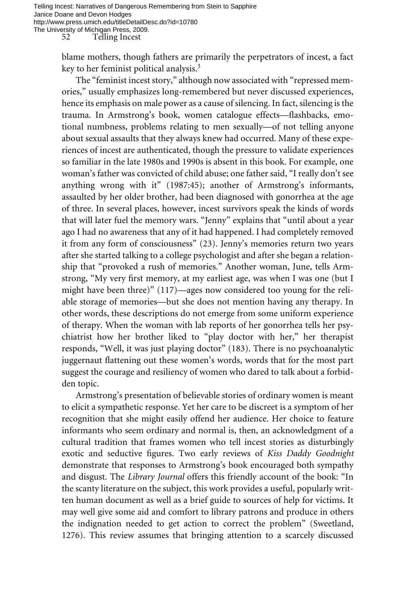blame mothers, though fathers are primarily the perpetrators of incest, a fact key to her feminist political analysis.<sup>3</sup>

The "feminist incest story," although now associated with "repressed memories," usually emphasizes long-remembered but never discussed experiences, hence its emphasis on male power as a cause of silencing. In fact, silencing is the trauma. In Armstrong's book, women catalogue effects—flashbacks, emotional numbness, problems relating to men sexually—of not telling anyone about sexual assaults that they always knew had occurred. Many of these experiences of incest are authenticated, though the pressure to validate experiences so familiar in the late 1980s and 1990s is absent in this book. For example, one woman's father was convicted of child abuse; one father said, "I really don't see anything wrong with it" (1987:45); another of Armstrong's informants, assaulted by her older brother, had been diagnosed with gonorrhea at the age of three. In several places, however, incest survivors speak the kinds of words that will later fuel the memory wars. "Jenny" explains that "until about a year ago I had no awareness that any of it had happened. I had completely removed it from any form of consciousness" (23). Jenny's memories return two years after she started talking to a college psychologist and after she began a relationship that "provoked a rush of memories." Another woman, June, tells Armstrong, "My very first memory, at my earliest age, was when I was one (but I might have been three)" (117)—ages now considered too young for the reliable storage of memories—but she does not mention having any therapy. In other words, these descriptions do not emerge from some uniform experience of therapy. When the woman with lab reports of her gonorrhea tells her psychiatrist how her brother liked to "play doctor with her," her therapist responds, "Well, it was just playing doctor" (183). There is no psychoanalytic juggernaut flattening out these women's words, words that for the most part suggest the courage and resiliency of women who dared to talk about a forbidden topic.

Armstrong's presentation of believable stories of ordinary women is meant to elicit a sympathetic response. Yet her care to be discreet is a symptom of her recognition that she might easily offend her audience. Her choice to feature informants who seem ordinary and normal is, then, an acknowledgment of a cultural tradition that frames women who tell incest stories as disturbingly exotic and seductive figures. Two early reviews of *Kiss Daddy Goodnight* demonstrate that responses to Armstrong's book encouraged both sympathy and disgust. The *Library Journal* offers this friendly account of the book: "In the scanty literature on the subject, this work provides a useful, popularly written human document as well as a brief guide to sources of help for victims. It may well give some aid and comfort to library patrons and produce in others the indignation needed to get action to correct the problem" (Sweetland, 1276). This review assumes that bringing attention to a scarcely discussed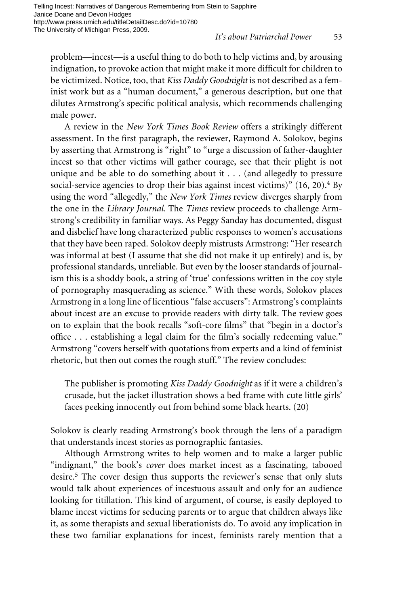problem—incest—is a useful thing to do both to help victims and, by arousing indignation, to provoke action that might make it more difficult for children to be victimized. Notice, too, that *Kiss Daddy Goodnight* is not described as a feminist work but as a "human document," a generous description, but one that dilutes Armstrong's specific political analysis, which recommends challenging male power.

A review in the *New York Times Book Review* offers a strikingly different assessment. In the first paragraph, the reviewer, Raymond A. Solokov, begins by asserting that Armstrong is "right" to "urge a discussion of father-daughter incest so that other victims will gather courage, see that their plight is not unique and be able to do something about it . . . (and allegedly to pressure social-service agencies to drop their bias against incest victims)"  $(16, 20)$ .<sup>4</sup> By using the word "allegedly," the *New York Times* review diverges sharply from the one in the *Library Journal.* The *Times* review proceeds to challenge Armstrong's credibility in familiar ways. As Peggy Sanday has documented, disgust and disbelief have long characterized public responses to women's accusations that they have been raped. Solokov deeply mistrusts Armstrong: "Her research was informal at best (I assume that she did not make it up entirely) and is, by professional standards, unreliable. But even by the looser standards of journalism this is a shoddy book, a string of 'true' confessions written in the coy style of pornography masquerading as science." With these words, Solokov places Armstrong in a long line of licentious "false accusers": Armstrong's complaints about incest are an excuse to provide readers with dirty talk. The review goes on to explain that the book recalls "soft-core films" that "begin in a doctor's office  $\dots$  establishing a legal claim for the film's socially redeeming value." Armstrong "covers herself with quotations from experts and a kind of feminist rhetoric, but then out comes the rough stuff." The review concludes:

The publisher is promoting *Kiss Daddy Goodnight* as if it were a children's crusade, but the jacket illustration shows a bed frame with cute little girls' faces peeking innocently out from behind some black hearts. (20)

Solokov is clearly reading Armstrong's book through the lens of a paradigm that understands incest stories as pornographic fantasies.

Although Armstrong writes to help women and to make a larger public "indignant," the book's *cover* does market incest as a fascinating, tabooed desire.<sup>5</sup> The cover design thus supports the reviewer's sense that only sluts would talk about experiences of incestuous assault and only for an audience looking for titillation. This kind of argument, of course, is easily deployed to blame incest victims for seducing parents or to argue that children always like it, as some therapists and sexual liberationists do. To avoid any implication in these two familiar explanations for incest, feminists rarely mention that a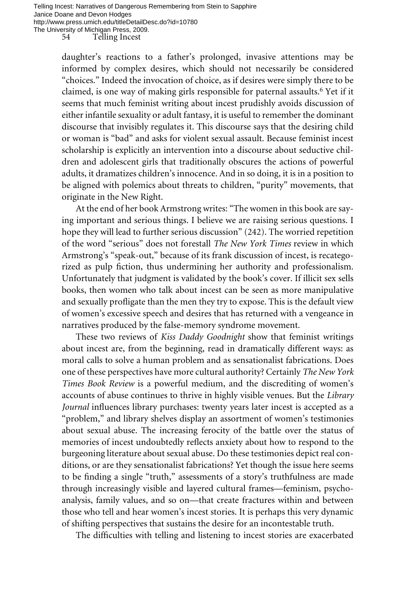> daughter's reactions to a father's prolonged, invasive attentions may be informed by complex desires, which should not necessarily be considered "choices." Indeed the invocation of choice, as if desires were simply there to be claimed, is one way of making girls responsible for paternal assaults.<sup>6</sup> Yet if it seems that much feminist writing about incest prudishly avoids discussion of either infantile sexuality or adult fantasy, it is useful to remember the dominant discourse that invisibly regulates it. This discourse says that the desiring child or woman is "bad" and asks for violent sexual assault. Because feminist incest scholarship is explicitly an intervention into a discourse about seductive children and adolescent girls that traditionally obscures the actions of powerful adults, it dramatizes children's innocence. And in so doing, it is in a position to be aligned with polemics about threats to children, "purity" movements, that originate in the New Right.

> At the end of her book Armstrong writes: "The women in this book are saying important and serious things. I believe we are raising serious questions. I hope they will lead to further serious discussion" (242). The worried repetition of the word "serious" does not forestall *The New York Times* review in which Armstrong's "speak-out," because of its frank discussion of incest, is recategorized as pulp fiction, thus undermining her authority and professionalism. Unfortunately that judgment is validated by the book's cover. If illicit sex sells books, then women who talk about incest can be seen as more manipulative and sexually profligate than the men they try to expose. This is the default view of women's excessive speech and desires that has returned with a vengeance in narratives produced by the false-memory syndrome movement.

> These two reviews of *Kiss Daddy Goodnight* show that feminist writings about incest are, from the beginning, read in dramatically different ways: as moral calls to solve a human problem and as sensationalist fabrications. Does one of these perspectives have more cultural authority? Certainly *The New York Times Book Review* is a powerful medium, and the discrediting of women's accounts of abuse continues to thrive in highly visible venues. But the *Library Journal* influences library purchases: twenty years later incest is accepted as a "problem," and library shelves display an assortment of women's testimonies about sexual abuse. The increasing ferocity of the battle over the status of memories of incest undoubtedly reflects anxiety about how to respond to the burgeoning literature about sexual abuse. Do these testimonies depict real conditions, or are they sensationalist fabrications? Yet though the issue here seems to be finding a single "truth," assessments of a story's truthfulness are made through increasingly visible and layered cultural frames—feminism, psychoanalysis, family values, and so on—that create fractures within and between those who tell and hear women's incest stories. It is perhaps this very dynamic of shifting perspectives that sustains the desire for an incontestable truth.

The difficulties with telling and listening to incest stories are exacerbated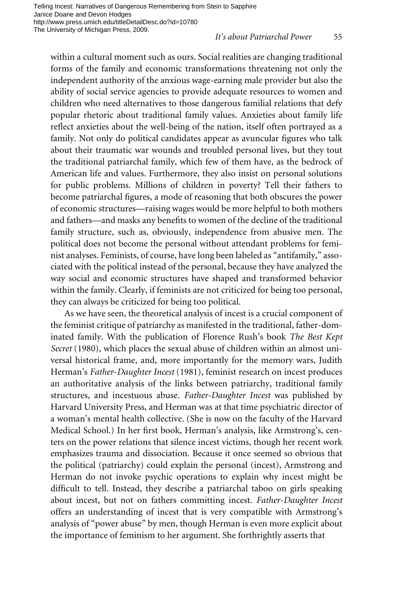## *It's about Patriarchal Power* 55

within a cultural moment such as ours. Social realities are changing traditional forms of the family and economic transformations threatening not only the independent authority of the anxious wage-earning male provider but also the ability of social service agencies to provide adequate resources to women and children who need alternatives to those dangerous familial relations that defy popular rhetoric about traditional family values. Anxieties about family life reflect anxieties about the well-being of the nation, itself often portrayed as a family. Not only do political candidates appear as avuncular figures who talk about their traumatic war wounds and troubled personal lives, but they tout the traditional patriarchal family, which few of them have, as the bedrock of American life and values. Furthermore, they also insist on personal solutions for public problems. Millions of children in poverty? Tell their fathers to become patriarchal figures, a mode of reasoning that both obscures the power of economic structures—raising wages would be more helpful to both mothers and fathers—and masks any benefits to women of the decline of the traditional family structure, such as, obviously, independence from abusive men. The political does not become the personal without attendant problems for feminist analyses. Feminists, of course, have long been labeled as "antifamily," associated with the political instead of the personal, because they have analyzed the way social and economic structures have shaped and transformed behavior within the family. Clearly, if feminists are not criticized for being too personal, they can always be criticized for being too political.

As we have seen, the theoretical analysis of incest is a crucial component of the feminist critique of patriarchy as manifested in the traditional, father-dominated family. With the publication of Florence Rush's book *The Best Kept Secret* (1980), which places the sexual abuse of children within an almost universal historical frame, and, more importantly for the memory wars, Judith Herman's *Father-Daughter Incest* (1981), feminist research on incest produces an authoritative analysis of the links between patriarchy, traditional family structures, and incestuous abuse. *Father-Daughter Incest* was published by Harvard University Press, and Herman was at that time psychiatric director of a woman's mental health collective. (She is now on the faculty of the Harvard Medical School.) In her first book, Herman's analysis, like Armstrong's, centers on the power relations that silence incest victims, though her recent work emphasizes trauma and dissociation. Because it once seemed so obvious that the political (patriarchy) could explain the personal (incest), Armstrong and Herman do not invoke psychic operations to explain why incest might be difficult to tell. Instead, they describe a patriarchal taboo on girls speaking about incest, but not on fathers committing incest. *Father-Daughter Incest* offers an understanding of incest that is very compatible with Armstrong's analysis of "power abuse" by men, though Herman is even more explicit about the importance of feminism to her argument. She forthrightly asserts that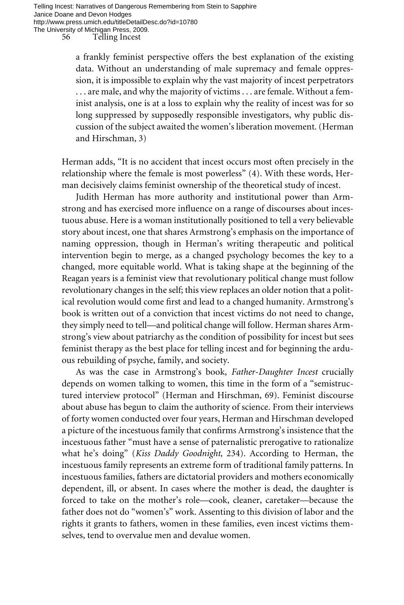> a frankly feminist perspective offers the best explanation of the existing data. Without an understanding of male supremacy and female oppression, it is impossible to explain why the vast majority of incest perpetrators . . . are male, and why the majority of victims . . . are female. Without a feminist analysis, one is at a loss to explain why the reality of incest was for so long suppressed by supposedly responsible investigators, why public discussion of the subject awaited the women's liberation movement. (Herman and Hirschman, 3)

Herman adds, "It is no accident that incest occurs most often precisely in the relationship where the female is most powerless" (4). With these words, Herman decisively claims feminist ownership of the theoretical study of incest.

Judith Herman has more authority and institutional power than Armstrong and has exercised more influence on a range of discourses about incestuous abuse. Here is a woman institutionally positioned to tell a very believable story about incest, one that shares Armstrong's emphasis on the importance of naming oppression, though in Herman's writing therapeutic and political intervention begin to merge, as a changed psychology becomes the key to a changed, more equitable world. What is taking shape at the beginning of the Reagan years is a feminist view that revolutionary political change must follow revolutionary changes in the self; this view replaces an older notion that a political revolution would come first and lead to a changed humanity. Armstrong's book is written out of a conviction that incest victims do not need to change, they simply need to tell—and political change will follow. Herman shares Armstrong's view about patriarchy as the condition of possibility for incest but sees feminist therapy as the best place for telling incest and for beginning the arduous rebuilding of psyche, family, and society.

As was the case in Armstrong's book, *Father-Daughter Incest* crucially depends on women talking to women, this time in the form of a "semistructured interview protocol" (Herman and Hirschman, 69). Feminist discourse about abuse has begun to claim the authority of science. From their interviews of forty women conducted over four years, Herman and Hirschman developed a picture of the incestuous family that confirms Armstrong's insistence that the incestuous father "must have a sense of paternalistic prerogative to rationalize what he's doing" (*Kiss Daddy Goodnight,* 234). According to Herman, the incestuous family represents an extreme form of traditional family patterns. In incestuous families, fathers are dictatorial providers and mothers economically dependent, ill, or absent. In cases where the mother is dead, the daughter is forced to take on the mother's role—cook, cleaner, caretaker—because the father does not do "women's" work. Assenting to this division of labor and the rights it grants to fathers, women in these families, even incest victims themselves, tend to overvalue men and devalue women.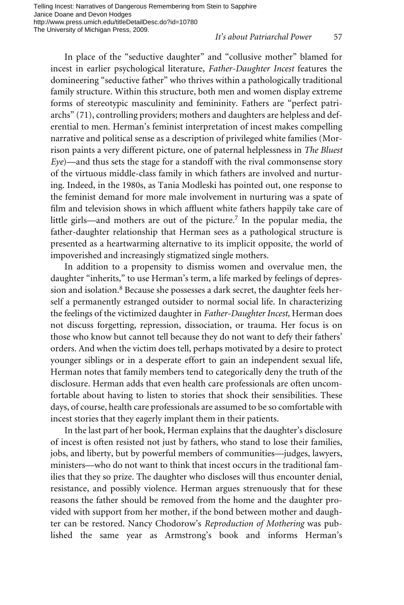## *It's about Patriarchal Power* 57

In place of the "seductive daughter" and "collusive mother" blamed for incest in earlier psychological literature, *Father-Daughter Incest* features the domineering "seductive father" who thrives within a pathologically traditional family structure. Within this structure, both men and women display extreme forms of stereotypic masculinity and femininity. Fathers are "perfect patriarchs" (71), controlling providers; mothers and daughters are helpless and deferential to men. Herman's feminist interpretation of incest makes compelling narrative and political sense as a description of privileged white families (Morrison paints a very different picture, one of paternal helplessness in *The Bluest Eye*)—and thus sets the stage for a standoff with the rival commonsense story of the virtuous middle-class family in which fathers are involved and nurturing. Indeed, in the 1980s, as Tania Modleski has pointed out, one response to the feminist demand for more male involvement in nurturing was a spate of film and television shows in which affluent white fathers happily take care of little girls—and mothers are out of the picture.<sup>7</sup> In the popular media, the father-daughter relationship that Herman sees as a pathological structure is presented as a heartwarming alternative to its implicit opposite, the world of impoverished and increasingly stigmatized single mothers.

In addition to a propensity to dismiss women and overvalue men, the daughter "inherits," to use Herman's term, a life marked by feelings of depression and isolation.<sup>8</sup> Because she possesses a dark secret, the daughter feels herself a permanently estranged outsider to normal social life. In characterizing the feelings of the victimized daughter in *Father-Daughter Incest,* Herman does not discuss forgetting, repression, dissociation, or trauma. Her focus is on those who know but cannot tell because they do not want to defy their fathers' orders. And when the victim does tell, perhaps motivated by a desire to protect younger siblings or in a desperate effort to gain an independent sexual life, Herman notes that family members tend to categorically deny the truth of the disclosure. Herman adds that even health care professionals are often uncomfortable about having to listen to stories that shock their sensibilities. These days, of course, health care professionals are assumed to be so comfortable with incest stories that they eagerly implant them in their patients.

In the last part of her book, Herman explains that the daughter's disclosure of incest is often resisted not just by fathers, who stand to lose their families, jobs, and liberty, but by powerful members of communities—judges, lawyers, ministers—who do not want to think that incest occurs in the traditional families that they so prize. The daughter who discloses will thus encounter denial, resistance, and possibly violence. Herman argues strenuously that for these reasons the father should be removed from the home and the daughter provided with support from her mother, if the bond between mother and daughter can be restored. Nancy Chodorow's *Reproduction of Mothering* was published the same year as Armstrong's book and informs Herman's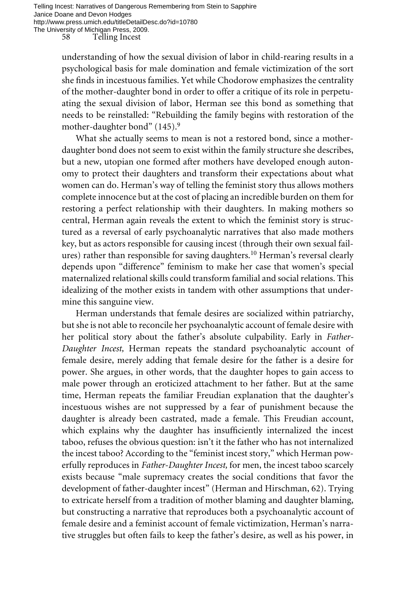understanding of how the sexual division of labor in child-rearing results in a psychological basis for male domination and female victimization of the sort she finds in incestuous families. Yet while Chodorow emphasizes the centrality of the mother-daughter bond in order to offer a critique of its role in perpetuating the sexual division of labor, Herman see this bond as something that needs to be reinstalled: "Rebuilding the family begins with restoration of the mother-daughter bond" (145).<sup>9</sup>

What she actually seems to mean is not a restored bond, since a motherdaughter bond does not seem to exist within the family structure she describes, but a new, utopian one formed after mothers have developed enough autonomy to protect their daughters and transform their expectations about what women can do. Herman's way of telling the feminist story thus allows mothers complete innocence but at the cost of placing an incredible burden on them for restoring a perfect relationship with their daughters. In making mothers so central, Herman again reveals the extent to which the feminist story is structured as a reversal of early psychoanalytic narratives that also made mothers key, but as actors responsible for causing incest (through their own sexual failures) rather than responsible for saving daughters.<sup>10</sup> Herman's reversal clearly depends upon "difference" feminism to make her case that women's special maternalized relational skills could transform familial and social relations. This idealizing of the mother exists in tandem with other assumptions that undermine this sanguine view.

Herman understands that female desires are socialized within patriarchy, but she is not able to reconcile her psychoanalytic account of female desire with her political story about the father's absolute culpability. Early in *Father-Daughter Incest,* Herman repeats the standard psychoanalytic account of female desire, merely adding that female desire for the father is a desire for power. She argues, in other words, that the daughter hopes to gain access to male power through an eroticized attachment to her father. But at the same time, Herman repeats the familiar Freudian explanation that the daughter's incestuous wishes are not suppressed by a fear of punishment because the daughter is already been castrated, made a female. This Freudian account, which explains why the daughter has insufficiently internalized the incest taboo, refuses the obvious question: isn't it the father who has not internalized the incest taboo? According to the "feminist incest story," which Herman powerfully reproduces in *Father-Daughter Incest,* for men, the incest taboo scarcely exists because "male supremacy creates the social conditions that favor the development of father-daughter incest" (Herman and Hirschman, 62). Trying to extricate herself from a tradition of mother blaming and daughter blaming, but constructing a narrative that reproduces both a psychoanalytic account of female desire and a feminist account of female victimization, Herman's narrative struggles but often fails to keep the father's desire, as well as his power, in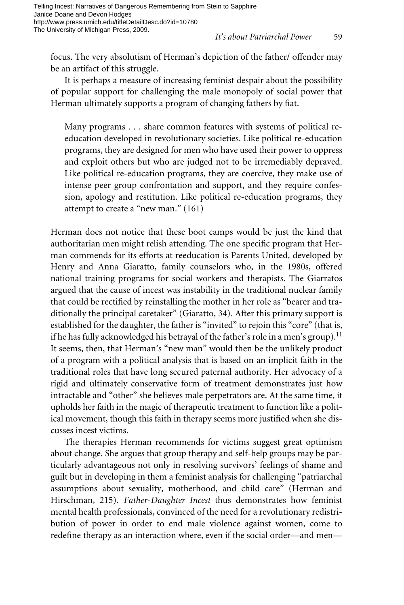focus. The very absolutism of Herman's depiction of the father/ offender may be an artifact of this struggle.

It is perhaps a measure of increasing feminist despair about the possibility of popular support for challenging the male monopoly of social power that Herman ultimately supports a program of changing fathers by fiat.

Many programs . . . share common features with systems of political reeducation developed in revolutionary societies. Like political re-education programs, they are designed for men who have used their power to oppress and exploit others but who are judged not to be irremediably depraved. Like political re-education programs, they are coercive, they make use of intense peer group confrontation and support, and they require confession, apology and restitution. Like political re-education programs, they attempt to create a "new man." (161)

Herman does not notice that these boot camps would be just the kind that authoritarian men might relish attending. The one specific program that Herman commends for its efforts at reeducation is Parents United, developed by Henry and Anna Giaratto, family counselors who, in the 1980s, offered national training programs for social workers and therapists. The Giarratos argued that the cause of incest was instability in the traditional nuclear family that could be rectified by reinstalling the mother in her role as "bearer and traditionally the principal caretaker" (Giaratto, 34). After this primary support is established for the daughter, the father is "invited" to rejoin this "core" (that is, if he has fully acknowledged his betrayal of the father's role in a men's group).<sup>11</sup> It seems, then, that Herman's "new man" would then be the unlikely product of a program with a political analysis that is based on an implicit faith in the traditional roles that have long secured paternal authority. Her advocacy of a rigid and ultimately conservative form of treatment demonstrates just how intractable and "other" she believes male perpetrators are. At the same time, it upholds her faith in the magic of therapeutic treatment to function like a political movement, though this faith in therapy seems more justified when she discusses incest victims.

The therapies Herman recommends for victims suggest great optimism about change. She argues that group therapy and self-help groups may be particularly advantageous not only in resolving survivors' feelings of shame and guilt but in developing in them a feminist analysis for challenging "patriarchal assumptions about sexuality, motherhood, and child care" (Herman and Hirschman, 215). *Father-Daughter Incest* thus demonstrates how feminist mental health professionals, convinced of the need for a revolutionary redistribution of power in order to end male violence against women, come to redefine therapy as an interaction where, even if the social order—and men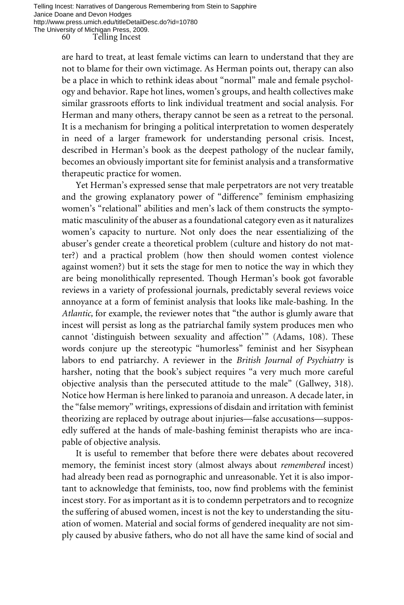are hard to treat, at least female victims can learn to understand that they are not to blame for their own victimage. As Herman points out, therapy can also be a place in which to rethink ideas about "normal" male and female psychology and behavior. Rape hot lines, women's groups, and health collectives make similar grassroots efforts to link individual treatment and social analysis. For Herman and many others, therapy cannot be seen as a retreat to the personal. It is a mechanism for bringing a political interpretation to women desperately in need of a larger framework for understanding personal crisis. Incest, described in Herman's book as the deepest pathology of the nuclear family, becomes an obviously important site for feminist analysis and a transformative therapeutic practice for women.

Yet Herman's expressed sense that male perpetrators are not very treatable and the growing explanatory power of "difference" feminism emphasizing women's "relational" abilities and men's lack of them constructs the symptomatic masculinity of the abuser as a foundational category even as it naturalizes women's capacity to nurture. Not only does the near essentializing of the abuser's gender create a theoretical problem (culture and history do not matter?) and a practical problem (how then should women contest violence against women?) but it sets the stage for men to notice the way in which they are being monolithically represented. Though Herman's book got favorable reviews in a variety of professional journals, predictably several reviews voice annoyance at a form of feminist analysis that looks like male-bashing. In the *Atlantic,* for example, the reviewer notes that "the author is glumly aware that incest will persist as long as the patriarchal family system produces men who cannot 'distinguish between sexuality and affection'" (Adams, 108). These words conjure up the stereotypic "humorless" feminist and her Sisyphean labors to end patriarchy. A reviewer in the *British Journal of Psychiatry* is harsher, noting that the book's subject requires "a very much more careful objective analysis than the persecuted attitude to the male" (Gallwey, 318). Notice how Herman is here linked to paranoia and unreason. A decade later, in the "false memory" writings, expressions of disdain and irritation with feminist theorizing are replaced by outrage about injuries—false accusations—supposedly suffered at the hands of male-bashing feminist therapists who are incapable of objective analysis.

It is useful to remember that before there were debates about recovered memory, the feminist incest story (almost always about *remembered* incest) had already been read as pornographic and unreasonable. Yet it is also important to acknowledge that feminists, too, now find problems with the feminist incest story. For as important as it is to condemn perpetrators and to recognize the suffering of abused women, incest is not the key to understanding the situation of women. Material and social forms of gendered inequality are not simply caused by abusive fathers, who do not all have the same kind of social and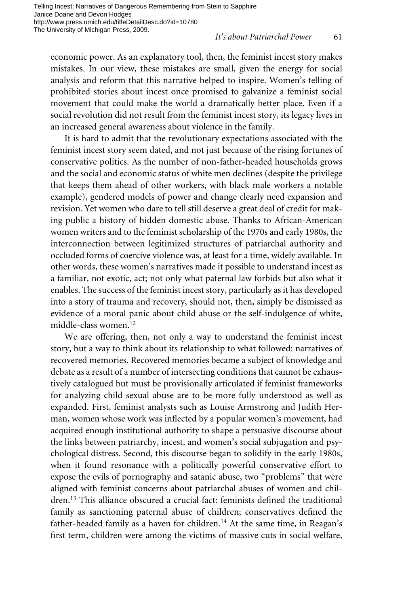economic power. As an explanatory tool, then, the feminist incest story makes mistakes. In our view, these mistakes are small, given the energy for social analysis and reform that this narrative helped to inspire. Women's telling of prohibited stories about incest once promised to galvanize a feminist social movement that could make the world a dramatically better place. Even if a social revolution did not result from the feminist incest story, its legacy lives in an increased general awareness about violence in the family.

It is hard to admit that the revolutionary expectations associated with the feminist incest story seem dated, and not just because of the rising fortunes of conservative politics. As the number of non-father-headed households grows and the social and economic status of white men declines (despite the privilege that keeps them ahead of other workers, with black male workers a notable example), gendered models of power and change clearly need expansion and revision. Yet women who dare to tell still deserve a great deal of credit for making public a history of hidden domestic abuse. Thanks to African-American women writers and to the feminist scholarship of the 1970s and early 1980s, the interconnection between legitimized structures of patriarchal authority and occluded forms of coercive violence was, at least for a time, widely available. In other words, these women's narratives made it possible to understand incest as a familiar, not exotic, act; not only what paternal law forbids but also what it enables. The success of the feminist incest story, particularly as it has developed into a story of trauma and recovery, should not, then, simply be dismissed as evidence of a moral panic about child abuse or the self-indulgence of white, middle-class women.<sup>12</sup>

We are offering, then, not only a way to understand the feminist incest story, but a way to think about its relationship to what followed: narratives of recovered memories. Recovered memories became a subject of knowledge and debate as a result of a number of intersecting conditions that cannot be exhaustively catalogued but must be provisionally articulated if feminist frameworks for analyzing child sexual abuse are to be more fully understood as well as expanded. First, feminist analysts such as Louise Armstrong and Judith Herman, women whose work was inflected by a popular women's movement, had acquired enough institutional authority to shape a persuasive discourse about the links between patriarchy, incest, and women's social subjugation and psychological distress. Second, this discourse began to solidify in the early 1980s, when it found resonance with a politically powerful conservative effort to expose the evils of pornography and satanic abuse, two "problems" that were aligned with feminist concerns about patriarchal abuses of women and children.<sup>13</sup> This alliance obscured a crucial fact: feminists defined the traditional family as sanctioning paternal abuse of children; conservatives defined the father-headed family as a haven for children.<sup>14</sup> At the same time, in Reagan's first term, children were among the victims of massive cuts in social welfare,